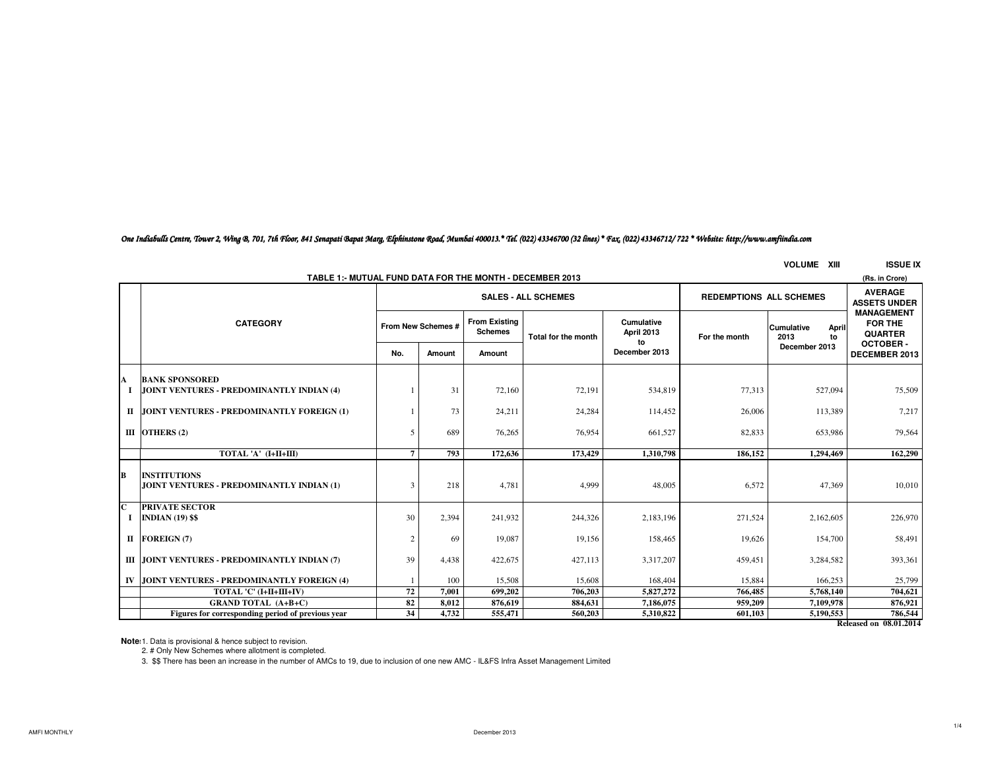*One Indiabulls Centre, Tower 2, Wing B, 701, 7th Floor, 841 Senapati Bapat Marg, Elphinstone Road, Mumbai 400013.\* Tel. (022) 43346700 (32 lines) \* Fax. (022) 43346712/ 722 \* Website: http://www.amfiindia.com*

# **VOLUME XIII ISSUE IX**

| TABLE 1:- MUTUAL FUND DATA FOR THE MONTH - DECEMBER 2013 |                                                                  |                                                              |                    |                                        |                     |                                                 |               |                                          |                                                       |
|----------------------------------------------------------|------------------------------------------------------------------|--------------------------------------------------------------|--------------------|----------------------------------------|---------------------|-------------------------------------------------|---------------|------------------------------------------|-------------------------------------------------------|
|                                                          |                                                                  | <b>SALES - ALL SCHEMES</b><br><b>REDEMPTIONS ALL SCHEMES</b> |                    |                                        |                     |                                                 |               |                                          |                                                       |
|                                                          | <b>CATEGORY</b>                                                  |                                                              | From New Schemes # | <b>From Existing</b><br><b>Schemes</b> | Total for the month | Cumulative<br>April 2013<br>to<br>December 2013 | For the month | <b>Cumulative</b><br>April<br>2013<br>to | <b>MANAGEMENT</b><br><b>FOR THE</b><br><b>QUARTER</b> |
|                                                          |                                                                  | No.                                                          | Amount             | Amount                                 |                     |                                                 |               | December 2013                            | <b>OCTOBER-</b><br>DECEMBER 2013                      |
| A                                                        | <b>BANK SPONSORED</b>                                            |                                                              |                    |                                        |                     |                                                 |               |                                          |                                                       |
| - 1                                                      | JOINT VENTURES - PREDOMINANTLY INDIAN (4)                        |                                                              | 31                 | 72,160                                 | 72,191              | 534,819                                         | 77,313        | 527,094                                  | 75,509                                                |
|                                                          | II JOINT VENTURES - PREDOMINANTLY FOREIGN (1)                    |                                                              | 73                 | 24,211                                 | 24,284              | 114,452                                         | 26,006        | 113,389                                  | 7,217                                                 |
|                                                          | III OTHERS $(2)$                                                 | 5                                                            | 689                | 76,265                                 | 76,954              | 661.527                                         | 82,833        | 653,986                                  | 79,564                                                |
|                                                          | TOTAL 'A' (I+II+III)                                             | 7                                                            | 793                | 172,636                                | 173,429             | 1.310.798                                       | 186.152       | 1.294.469                                | 162,290                                               |
| B                                                        | <b>INSTITUTIONS</b><br>JOINT VENTURES - PREDOMINANTLY INDIAN (1) |                                                              | 218                | 4,781                                  | 4.999               | 48,005                                          | 6.572         | 47,369                                   | 10,010                                                |
| $\overline{\mathbf{c}}$<br>-1                            | <b>PRIVATE SECTOR</b><br><b>INDIAN (19) \$\$</b>                 | 30                                                           | 2,394              | 241,932                                | 244,326             | 2,183,196                                       | 271,524       | 2,162,605                                | 226,970                                               |
|                                                          | II FOREIGN (7)                                                   | 2                                                            | 69                 | 19,087                                 | 19,156              | 158,465                                         | 19,626        | 154,700                                  | 58,491                                                |
|                                                          | III JOINT VENTURES - PREDOMINANTLY INDIAN (7)                    | 39                                                           | 4,438              | 422,675                                | 427,113             | 3,317,207                                       | 459,451       | 3,284,582                                | 393,361                                               |
|                                                          | IV JOINT VENTURES - PREDOMINANTLY FOREIGN (4)                    |                                                              | 100                | 15,508                                 | 15,608              | 168,404                                         | 15,884        | 166,253                                  | 25,799                                                |
|                                                          | TOTAL 'C' (I+II+III+IV)                                          | 72                                                           | 7.001              | 699,202                                | 706,203             | 5,827,272                                       | 766,485       | 5,768,140                                | 704,621                                               |
|                                                          | <b>GRAND TOTAL (A+B+C)</b>                                       | 82                                                           | 8,012              | 876,619                                | 884,631             | 7,186,075                                       | 959,209       | 7.109.978                                | 876,921                                               |
|                                                          | Figures for corresponding period of previous year                | 34                                                           | 4,732              | 555,471                                | 560,203             | 5,310,822                                       | 601,103       | 5,190,553                                | 786,544<br>$Dol$ and $\Omega$ 0.01.2014               |
|                                                          |                                                                  |                                                              |                    |                                        |                     |                                                 |               |                                          |                                                       |

**Released on 08.01.2014**

**Notes:**1. Data is provisional & hence subject to revision. 2. # Only New Schemes where allotment is completed.

3. \$\$ There has been an increase in the number of AMCs to 19, due to inclusion of one new AMC - IL&FS Infra Asset Management Limited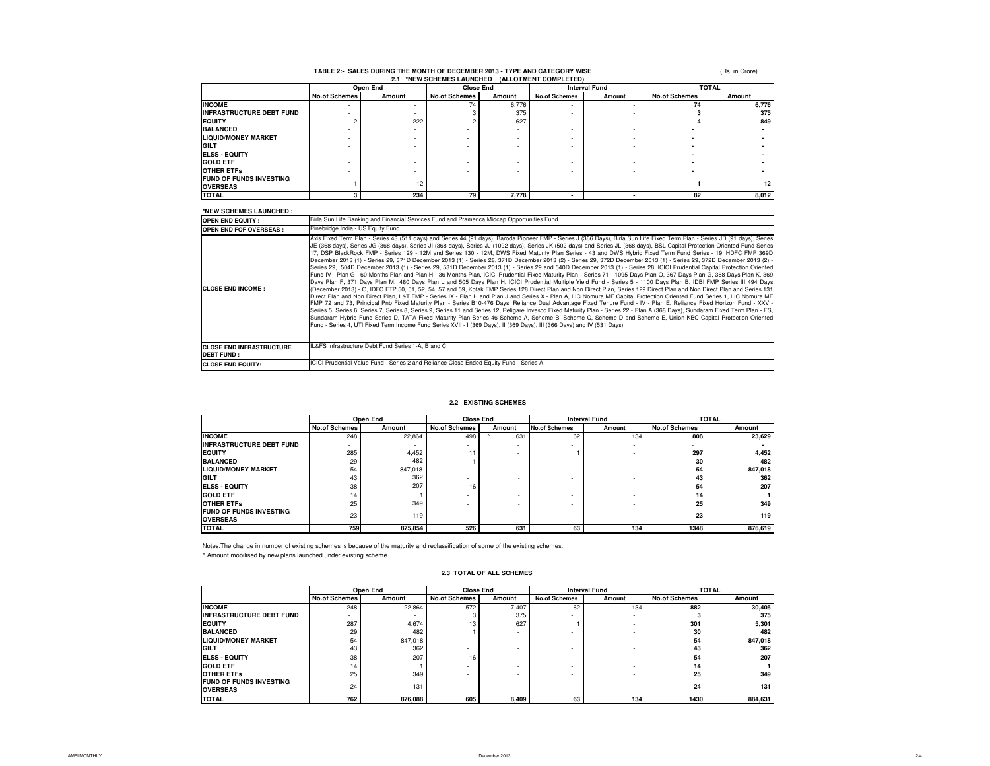|                                                   |                          |        | 2.1 *NEW SCHEMES LAUNCHED (ALLOTMENT COMPLETED) |        |                          |        |                      |        |
|---------------------------------------------------|--------------------------|--------|-------------------------------------------------|--------|--------------------------|--------|----------------------|--------|
|                                                   | Open End                 |        | <b>Close End</b>                                |        | <b>Interval Fund</b>     |        | <b>TOTAL</b>         |        |
|                                                   | <b>No.of Schemes</b>     | Amount | <b>No.of Schemes</b>                            | Amount | <b>No.of Schemes</b>     | Amount | <b>No.of Schemes</b> | Amount |
| <b>INCOME</b>                                     | ۰                        | ۰      | 74                                              | 6,776  | $\overline{\phantom{a}}$ |        | 74                   | 6,776  |
| <b>INFRASTRUCTURE DEBT FUND</b>                   |                          |        |                                                 | 375    |                          |        |                      | 375    |
| <b>EQUITY</b>                                     | c                        | 222    |                                                 | 627    |                          |        |                      | 849    |
| <b>BALANCED</b>                                   |                          |        |                                                 |        |                          |        |                      |        |
| <b>LIQUID/MONEY MARKET</b>                        | $\overline{\phantom{a}}$ |        | $\overline{\phantom{0}}$                        |        |                          |        |                      |        |
| <b>GILT</b>                                       |                          |        | $\overline{a}$                                  |        |                          |        |                      |        |
| <b>IELSS - EQUITY</b>                             |                          |        |                                                 |        |                          |        |                      |        |
| <b>GOLD ETF</b>                                   |                          |        | $\overline{\phantom{0}}$                        |        |                          |        |                      |        |
| <b>OTHER ETFS</b>                                 |                          |        | $\overline{\phantom{0}}$                        |        |                          |        |                      |        |
| <b>FUND OF FUNDS INVESTING</b><br><b>OVERSEAS</b> |                          | 12     | $\overline{\phantom{0}}$                        |        |                          |        |                      | 12     |
| <b>TOTAL</b>                                      |                          | 234    | 79                                              | 7.778  |                          |        | 82                   | 8,012  |

(Rs. in Crore)

## **TABLE 2:- SALES DURING THE MONTH OF DECEMBER 2013 - TYPE AND CATEGORY WISE**

#### **\*NEW SCHEMES LAUNCHED : OPEN END EQUITY : OPEN END FOF OVERSEAS :CLOSE END INCOME :CLOSE END INFRASTRUCTURE DEBT FUND : CLOSE END EQUITY:**ICICI Prudential Value Fund - Series 2 and Reliance Close Ended Equity Fund - Series AAxis Fixed Term Plan - Series 43 (511 days) and Series 44 (91 days), Baroda Pioneer FMP - Series J (366 Days), Birla Sun Life Fixed Term Plan - Series JD (91 days), Series<br>JE (368 days), Series JG (368 days), Series JJ (36 17, DSP BlackRock FMP - Series 129 - 12M and Series 130 - 12M, DWS Fixed Maturity Plan Series - 43 and DWS Hybrid Fixed Term Fund Series - 19, HDFC FMP 369D December 2013 (1) - Series 29, 371D December 2013 (1) - Series 28, 371D December <sup>2013</sup> (2) - Series 29, 372D December <sup>2013</sup> (1) - Series 29, 372D December <sup>2013</sup> (2) - Series 29, 504D December 2013 (1) - Series 29, 531D December 2013 (1) - Series 29 and 540D December 2013 (1) - Series 28, ICICI Prudential Capital Protection Oriented Fund IV - Plan G - 60 Months Plan and Plan H - 36 Months Plan, ICICI Prudential Fixed Maturity Plan - Series <sup>71</sup> - 1095 Days Plan O, 367 Days Plan G, 368 Days Plan K, 369 Days Plan F, 371 Days Plan M, 480 Days Plan L and 505 Days Plan H, ICICI Prudential Multiple Yield Fund - Series 5 - 1100 Days Plan B, IDBI FMP Series III 494 Days (December 2013) - O, IDFC FTP 50, 51, 52, 54, 57 and 59, Kotak FMP Series 128 Direct Plan and Non Direct Plan, Series 129 Direct Plan and Non Direct Plan and Series 131 Direct Plan and Non Direct Plan, L&T FMP - Series IX - Plan H and Plan <sup>J</sup> and Series <sup>X</sup> - Plan A, LIC Nomura MF Capital Protection Oriented Fund Series 1, LIC Nomura MF FMP <sup>72</sup> and 73, Principal Pnb Fixed Maturity Plan - Series B10-476 Days, Reliance Dual Advantage Fixed Tenure Fund - IV - Plan E, Reliance Fixed Horizon Fund - XXV -Series 5, Series 6, Series 7, Series 8, Series 9, Series 11 and Series 12, Religare Invesco Fixed Maturity Plan - Series 22 - Plan A (368 Days), Sundaram Fixed Term Plan - ES,<br>Sundaram Hybrid Fund Series D, TATA Fixed Matu Pinebridge India - US Equity FundBirla Sun Life Banking and Financial Services Fund and Pramerica Midcap Opportunities Fund IL&FS Infrastructure Debt Fund Series 1-A, B and C

#### **2.2 EXISTING SCHEMES**

|                                                   |                          | Open End                 | <b>Close End</b>         |                          | <b>Interval Fund</b>     |        | <b>TOTAL</b>         |         |
|---------------------------------------------------|--------------------------|--------------------------|--------------------------|--------------------------|--------------------------|--------|----------------------|---------|
|                                                   | <b>No.of Schemes</b>     | Amount                   | <b>No.of Schemes</b>     | Amount                   | <b>No.of Schemes</b>     | Amount | <b>No.of Schemes</b> | Amount  |
| <b>INCOME</b>                                     | 248                      | 22.864                   | 498                      | 631                      | 62                       | 134    | 808                  | 23.629  |
| <b>INFRASTRUCTURE DEBT FUND</b>                   | $\overline{\phantom{a}}$ | $\overline{\phantom{a}}$ | $\overline{\phantom{0}}$ | $\overline{\phantom{0}}$ | $\overline{\phantom{0}}$ | ۰.     |                      |         |
| <b>EQUITY</b>                                     | 285                      | 4,452                    | 11                       | $\overline{\phantom{0}}$ |                          |        | 297                  | 4,452   |
| <b>BALANCED</b>                                   | 29                       | 482                      |                          |                          |                          |        | 30                   | 482     |
| <b>LIQUID/MONEY MARKET</b>                        | 54                       | 847.018                  | $\overline{\phantom{0}}$ | ۰                        |                          |        | 54                   | 847,018 |
| <b>GILT</b>                                       | 43                       | 362                      | $\overline{\phantom{0}}$ | ۰                        | $\overline{\phantom{0}}$ | ۰.     | 43                   | 362     |
| <b>ELSS - EQUITY</b>                              | 38                       | 207                      | 16                       |                          | $\overline{\phantom{0}}$ |        | 54                   | 207     |
| <b>GOLD ETF</b>                                   | 14                       |                          | $\overline{\phantom{0}}$ | -                        | $\overline{\phantom{0}}$ |        | 14                   |         |
| <b>OTHER ETFS</b>                                 | 25                       | 349                      |                          |                          |                          | ۰.     | 25                   | 349     |
| <b>FUND OF FUNDS INVESTING</b><br><b>OVERSEAS</b> | 23                       | 119                      | $\overline{\phantom{0}}$ | ۰                        | $\overline{\phantom{0}}$ | ۰.     | 23                   | 119     |
| <b>TOTAL</b>                                      | 759                      | 875.854                  | 526                      | 631                      | 63                       | 134    | 1348                 | 876.619 |

Notes:The change in number of existing schemes is because of the maturity and reclassification of some of the existing schemes.^ Amount mobilised by new plans launched under existing scheme.

**FUND OF FUNDS INVESTING** 

**TOTAL**

#### **No.of Schemes No.of Schemes No.of Schemes No.of Schemes Amount Amount INCOME** 22,864 248 572 7,407 62 134 **30,405 <sup>882</sup> INFRASTRUCTURE DEBT FUND** -- **1 31 375 - 1 - 31 375 <sup>3</sup> EQUITY** 4,674**BALANCED** 482287 | 4,674 | 13 | 627 | 1 | 1 | 301 | 5,301 29 482 1 - - - - - 30 30 482 **LIQUID/MONEY MARKET**  $\begin{array}{|c|c|c|c|c|}\n\hline\n\textbf{GILT} & & & 847,018 \\
\hline\n\textbf{GILT} & & & 362 \\
\hline\n\end{array}$  54 - - - - **847,018 <sup>54</sup> GILT** 362 43 - - - -**<sup>362</sup> <sup>43</sup> ELSS - EQUITY** 207 38 16 - - -**<sup>207</sup> <sup>54</sup> GOLD ETF** 14 14 - - - -**<sup>1</sup> <sup>14</sup> OTHER ETFs** 349 25 - 349 - **1** - 1 - 1 - 1 - 25 - 349 **Open End Close End**Amount **Amount**<br>572 **Amount**<br>7,407 **Interval Fund**Amount **TOTAL2.3 TOTAL OF ALL SCHEMES**

**OVERSEAS**<sup>131</sup> 24 - - - -**<sup>131</sup> <sup>24</sup>**

**<sup>762</sup> 876,088 <sup>605</sup> 8,409 134 63 1430 884,631**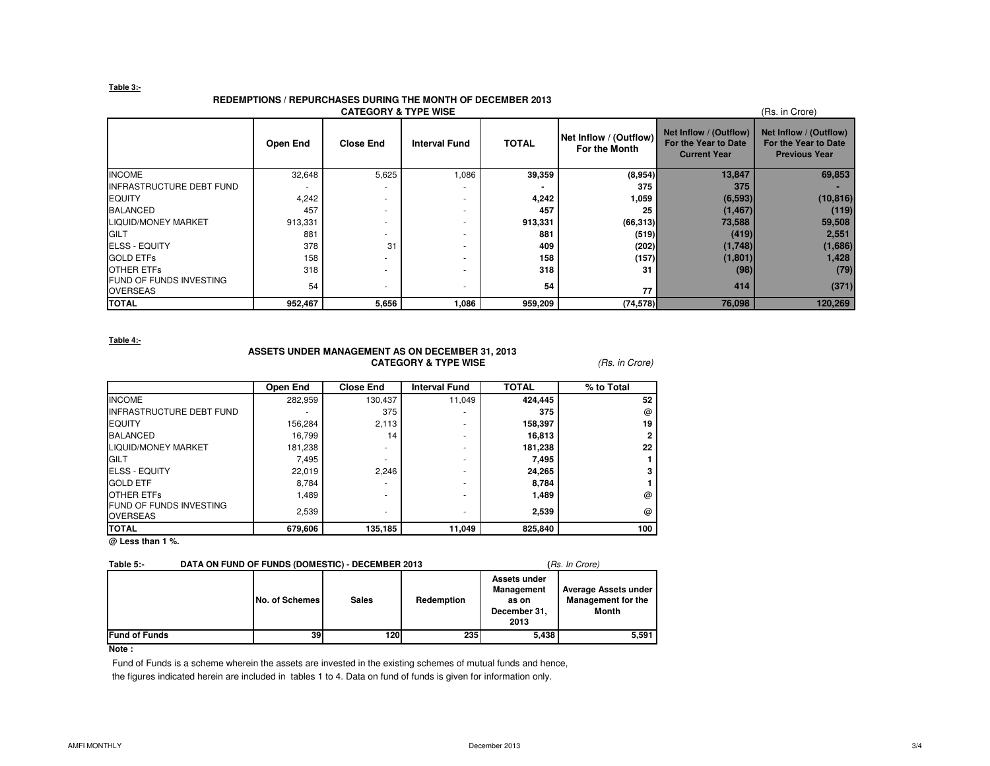#### **Table 3:-**

#### **REDEMPTIONS / REPURCHASES DURING THE MONTH OF DECEMBER 2013**

| <b>CATEGORY &amp; TYPE WISE</b><br>(Rs. in Crore) |          |                  |                      |              |                                         |                                                                       |                                                                        |  |  |  |
|---------------------------------------------------|----------|------------------|----------------------|--------------|-----------------------------------------|-----------------------------------------------------------------------|------------------------------------------------------------------------|--|--|--|
|                                                   | Open End | <b>Close End</b> | <b>Interval Fund</b> | <b>TOTAL</b> | Net Inflow / (Outflow)<br>For the Month | Net Inflow / (Outflow)<br>For the Year to Date<br><b>Current Year</b> | Net Inflow / (Outflow)<br>For the Year to Date<br><b>Previous Year</b> |  |  |  |
| <b>INCOME</b>                                     | 32,648   | 5,625            | 1,086                | 39,359       | (8,954)                                 | 13,847                                                                | 69,853                                                                 |  |  |  |
| INFRASTRUCTURE DEBT FUND                          |          |                  |                      |              | 375                                     | 375                                                                   |                                                                        |  |  |  |
| <b>EQUITY</b>                                     | 4,242    | ۰.               |                      | 4,242        | 1,059                                   | (6, 593)                                                              | (10, 816)                                                              |  |  |  |
| <b>BALANCED</b>                                   | 457      |                  |                      | 457          | 25                                      | (1, 467)                                                              | (119)                                                                  |  |  |  |
| <b>LIQUID/MONEY MARKET</b>                        | 913,331  |                  |                      | 913,331      | (66, 313)                               | 73,588                                                                | 59,508                                                                 |  |  |  |
| <b>GILT</b>                                       | 881      | ۰.               |                      | 881          | (519)                                   | (419)                                                                 | 2,551                                                                  |  |  |  |
| <b>ELSS - EQUITY</b>                              | 378      | 31               |                      | 409          | (202)                                   | (1,748)                                                               | (1,686)                                                                |  |  |  |
| <b>GOLD ETFS</b>                                  | 158      | ۰.               |                      | 158          | (157)                                   | (1,801)                                                               | 1,428                                                                  |  |  |  |
| <b>OTHER ETFS</b>                                 | 318      |                  |                      | 318          | 31                                      | (98)                                                                  | (79)                                                                   |  |  |  |
| FUND OF FUNDS INVESTING<br><b>OVERSEAS</b>        | 54       |                  |                      | 54           | 77                                      | 414                                                                   | (371)                                                                  |  |  |  |
| <b>TOTAL</b>                                      | 952,467  | 5,656            | 1,086                | 959,209      | (74, 578)                               | 76,098                                                                | 120,269                                                                |  |  |  |

**Table 4:-**

### **ASSETS UNDER MANAGEMENT AS ON DECEMBER 31, 2013CATEGORY & TYPE WISE** (Rs. in Crore)

|                                                   | <b>Open End</b> | <b>Close End</b>         | <b>Interval Fund</b> | <b>TOTAL</b> | % to Total |
|---------------------------------------------------|-----------------|--------------------------|----------------------|--------------|------------|
| <b>INCOME</b>                                     | 282,959         | 130,437                  | 11,049               | 424,445      | 52         |
| <b>INFRASTRUCTURE DEBT FUND</b>                   |                 | 375                      | ۰                    | 375          | @          |
| <b>EQUITY</b>                                     | 156,284         | 2,113                    | ۰                    | 158,397      | 19         |
| <b>BALANCED</b>                                   | 16.799          | 14                       | ۰                    | 16,813       |            |
| <b>LIQUID/MONEY MARKET</b>                        | 181,238         | $\overline{\phantom{a}}$ | ۰                    | 181,238      | $22\,$     |
| GILT                                              | 7,495           |                          | ۰                    | 7,495        |            |
| <b>ELSS - EQUITY</b>                              | 22.019          | 2.246                    | ۰                    | 24,265       |            |
| <b>GOLD ETF</b>                                   | 8,784           |                          | ۰                    | 8,784        |            |
| <b>OTHER ETFS</b>                                 | 1,489           |                          | ۰                    | 1,489        | @          |
| <b>FUND OF FUNDS INVESTING</b><br><b>OVERSEAS</b> | 2,539           | $\overline{\phantom{a}}$ | ۰                    | 2.539        | @          |
| <b>TOTAL</b>                                      | 679,606         | 135,185                  | 11,049               | 825,840      | 100        |

**@ Less than 1 %.**

| Table 5:-            |                 | DATA ON FUND OF FUNDS (DOMESTIC) - DECEMBER 2013 | (Rs. In Crore) |                                                             |                                                            |
|----------------------|-----------------|--------------------------------------------------|----------------|-------------------------------------------------------------|------------------------------------------------------------|
|                      | No. of Schemes  | <b>Sales</b>                                     | Redemption     | Assets under<br>Management<br>as on<br>December 31,<br>2013 | Average Assets under<br><b>Management for the</b><br>Month |
| <b>Fund of Funds</b> | 39 <sub>l</sub> | 1201                                             | <b>235</b>     | 5.438                                                       | 5,591                                                      |

#### **Note :**

Fund of Funds is a scheme wherein the assets are invested in the existing schemes of mutual funds and hence, the figures indicated herein are included in tables 1 to 4. Data on fund of funds is given for information only.